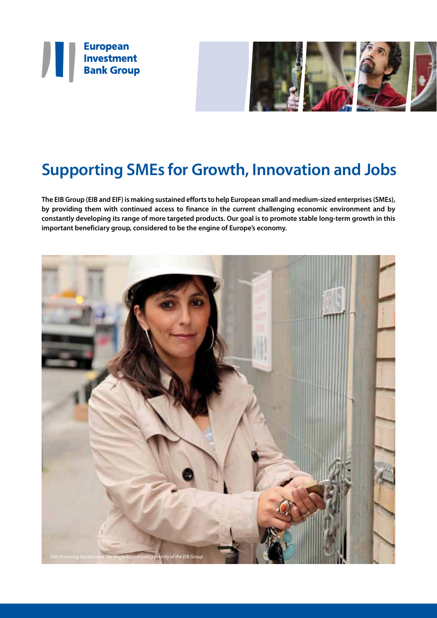



# **Supporting SMEs for Growth, Innovation and Jobs**

**The EIB Group (EIB and EIF) is making sustained efforts to help European small and medium-sized enterprises (SMEs), by providing them with continued access to finance in the current challenging economic environment and by constantly developing its range of more targeted products. Our goal is to promote stable long-term growth in this important beneficiary group, considered to be the engine of Europe's economy.**

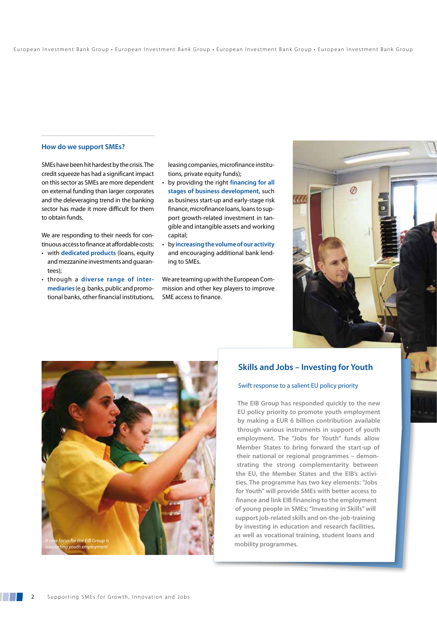European Investment Bank Group . European Investment Bank Group . European Investment Bank Group . European Investment Bank Group

#### **How do we support SMEs?**

SMEs have been hit hardest by the crisis. The credit squeeze has had a significant impact on this sector as SMEs are more dependent on external funding than larger corporates and the deleveraging trend in the banking sector has made it more difficult for them to obtain funds.

We are responding to their needs for continuous access to finance at affordable costs:

- • with **dedicated products** (loans, equity and mezzanine investments and guarantees);
- • through a **diverse range of intermediaries** (e.g. banks, public and promotional banks, other financial institutions,

leasing companies, microfinance institutions, private equity funds);

- by providing the right **financing for all stages of business development**, such as business start-up and early-stage risk finance, microfinance loans, loans to support growth-related investment in tangible and intangible assets and working capital;
- • by **increasing the volume of our activity**  and encouraging additional bank lending to SMEs.

We are teaming up with the European Commission and other key players to improve SME access to finance.





# **Skills and Jobs – Investing for Youth**

#### Swift response to a salient EU policy priority

**The EIB Group has responded quickly to the new EU policy priority to promote youth employment by making a EUR 6 billion contribution available through various instruments in support of youth employment. The "Jobs for Youth" funds allow Member States to bring forward the start-up of their national or regional programmes – demonstrating the strong complementarity between the EU, the Member States and the EIB's activities. The programme has two key elements: "Jobs for Youth" will provide SMEs with better access to finance and link EIB financing to the employment of young people in SMEs; "Investing in Skills" will support job-related skills and on-the-job-training by investing in education and research facilities, as well as vocational training, student loans and mobility programmes.**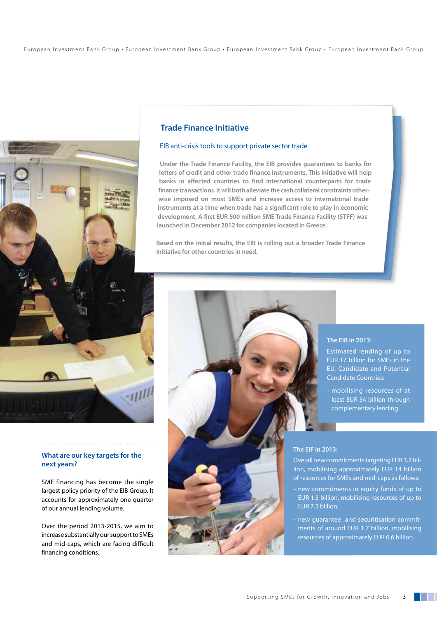

# **Trade Finance Initiative**

#### EIB anti-crisis tools to support private sector trade

**Under the Trade Finance Facility, the EIB provides guarantees to banks for letters of credit and other trade finance instruments. This initiative will help banks in affected countries to find international counterparts for trade finance transactions. It will both alleviate the cash collateral constraints otherwise imposed on most SMEs and increase access to international trade instruments at a time when trade has a significant role to play in economic development. A first EUR 500 million SME Trade Finance Facility (STFF) was launched in December 2012 for companies located in Greece.**

**Based on the initial results, the EIB is rolling out a broader Trade Finance Initiative for other countries in need.** 



#### **The EIB in 2013:**

Estimated lending of up to EUR 17 billion for SMEs in the EU, Candidate and Potential Candidate Countries:

– mobilising resources of at least EUR 34 billion through complementary lending.

#### **The EIF in 2013:**

Overall new commitments targeting EUR 3.2billion, mobilising approximately EUR 14 billion of resources for SMEs and mid-caps as follows:

- new commitments in equity funds of up to EUR 1.5 billion, mobilising resources of up to EUR 7.5 billion;
- new guarantee and securitisation commitments of around EUR 1.7 billion, mobilising resources of approximately EUR 6.6 billion.

#### **What are our key targets for the next years?**

SME financing has become the single largest policy priority of the EIB Group. It accounts for approximately one quarter of our annual lending volume.

Over the period 2013-2015, we aim to increase substantially our support to SMEs and mid-caps, which are facing difficult financing conditions.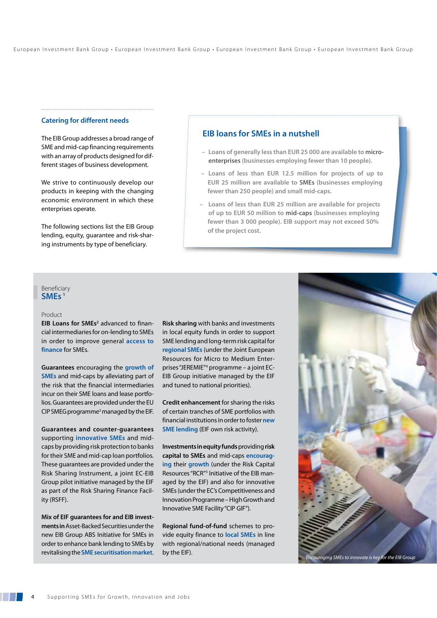European Investment Bank Group . European Investment Bank Group . European Investment Bank Group . European Investment Bank Group

#### **Catering for different needs**

The EIB Group addresses a broad range of SME and mid-cap financing requirements with an array of products designed for different stages of business development.

We strive to continuously develop our products in keeping with the changing economic environment in which these enterprises operate.

The following sections list the EIB Group lending, equity, guarantee and risk-sharing instruments by type of beneficiary.

# **EIB loans for SMEs in a nutshell**

- **Loans of generally less than EUR 25 000 are available to microenterprises (businesses employing fewer than 10 people).**
- **Loans of less than EUR 12.5 million for projects of up to EUR 25 million are available to SMEs (businesses employing fewer than 250 people) and small mid-caps.**
- **Loans of less than EUR 25 million are available for projects of up to EUR 50 million to mid-caps (businesses employing fewer than 3 000 people). EIB support may not exceed 50% of the project cost.**

#### Beneficiary **SMEs <sup>1</sup>**

#### Product

EIB Loans for SMEs<sup>2</sup> advanced to financial intermediaries for on-lending to SMEs in order to improve general **access to finance** for SMEs.

**Guarantees** encouraging the **growth of SMEs** and mid-caps by alleviating part of the risk that the financial intermediaries incur on their SME loans and lease portfolios. Guarantees are provided under the EU CIP SMEG programme<sup>3</sup> managed by the EIF.

**Guarantees and counter-guarantees** supporting **innovative SMEs** and midcaps by providing risk protection to banks for their SME and mid-cap loan portfolios. These guarantees are provided under the Risk Sharing Instrument, a joint EC-EIB Group pilot initiative managed by the EIF as part of the Risk Sharing Finance Facility (RSFF).

**Mix of EIF guarantees for and EIB investments in** Asset-Backed Securities under the new EIB Group ABS Initiative for SMEs in order to enhance bank lending to SMEs by revitalising the **SME securitisation market**. **Risk sharing** with banks and investments in local equity funds in order to support SME lending and long-term risk capital for **regional SMEs** (under the Joint European Resources for Micro to Medium Enterprises "JEREMIE"4 programme – a joint EC-EIB Group initiative managed by the EIF and tuned to national priorities).

**Credit enhancement** for sharing the risks of certain tranches of SME portfolios with financial institutions in order to foster **new SME lending** (EIF own risk activity).

**Investments in equity funds** providing **risk capital to SMEs** and mid-caps **encouraging** their **growth** (under the Risk Capital Resources "RCR"<sup>5</sup> Initiative of the EIB managed by the EIF) and also for innovative SMEs (under the EC's Competitiveness and Innovation Programme – High Growth and Innovative SME Facility "CIP GIF").

**Regional fund-of-fund** schemes to provide equity finance to **local SMEs** in line with regional/national needs (managed

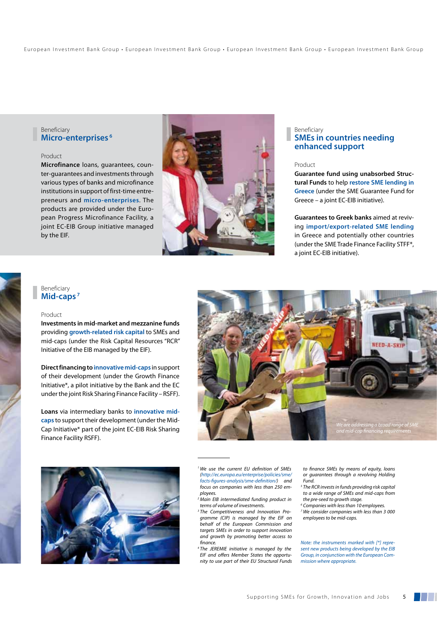#### Beneficiary **Micro-enterprises <sup>6</sup>**

#### Product

**Microfinance** loans, guarantees, counter-guarantees and investments through various types of banks and microfinance institutions in support of first-time entrepreneurs and **micro-enterprises**. The products are provided under the European Progress Microfinance Facility, a joint EC-EIB Group initiative managed by the EIF.



#### Beneficiary **SMEs in countries needing enhanced support**

#### Product

**Guarantee fund using unabsorbed Structural Funds** to help **restore SME lending in Greece** (under the SME Guarantee Fund for Greece – a joint EC-EIB initiative).

**Guarantees to Greek banks** aimed at reviving **import/export-related SME lending** in Greece and potentially other countries (under the SME Trade Finance Facility STFF\*, a joint EC-EIB initiative).

#### Beneficiary **Mid-caps <sup>7</sup>**

#### Product

**Investments in mid-market and mezzanine funds** providing **growth-related risk capital** to SMEs and mid-caps (under the Risk Capital Resources "RCR" Initiative of the EIB managed by the EIF).

**Direct financing to innovative mid-caps** in support of their development (under the Growth Finance Initiative\*, a pilot initiative by the Bank and the EC under the joint Risk Sharing Finance Facility – RSFF).

**Loans** via intermediary banks to **innovative midcaps** to support their development (under the Mid-Cap Initiative\* part of the joint EC-EIB Risk Sharing Finance Facility RSFF).





- *<sup>1</sup> We use the current EU definition of SMEs (http://ec.europa.eu/enterprise/policies/sme/ facts-figures-analysis/sme-definition/) and focus on companies with less than 250 employees.*
- *<sup>2</sup> Main EIB intermediated funding product in terms of volume of investments.*
- *<sup>3</sup> The Competitiveness and Innovation Programme (CIP) is managed by the EIF on behalf of the European Commission and targets SMEs in order to support innovation and growth by promoting better access to finance.*
- *<sup>4</sup> The JEREMIE initiative is managed by the EIF and offers Member States the opportu-*

*to finance SMEs by means of equity, loans or guarantees through a revolving Holding Fund.*

- *<sup>5</sup> The RCR invests in funds providing risk capital to a wide range of SMEs and mid-caps from the pre-seed to growth stage.*
- *<sup>6</sup> Companies with less than 10 employees. <sup>7</sup> We consider companies with less than 3 000 employees to be mid-caps.*

*Note: the instruments marked with [\*] represent new products being developed by the EIB Group, in conjunction with the European Com-*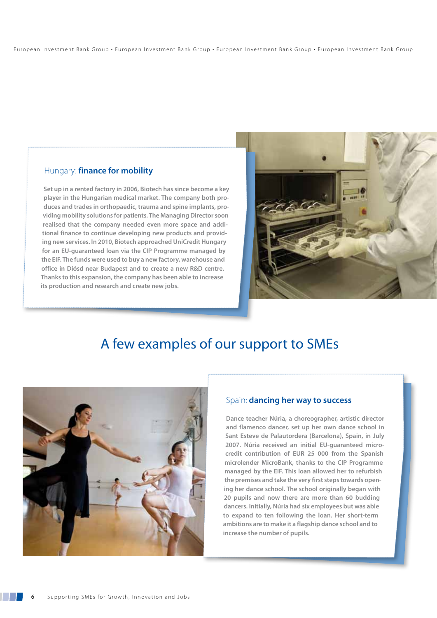# Hungary: **finance for mobility**

**Set up in a rented factory in 2006, Biotech has since become a key player in the Hungarian medical market. The company both produces and trades in orthopaedic, trauma and spine implants, providing mobility solutions for patients. The Managing Director soon realised that the company needed even more space and additional finance to continue developing new products and providing new services. In 2010, Biotech approached UniCredit Hungary for an EU-guaranteed loan via the CIP Programme managed by the EIF. The funds were used to buy a new factory, warehouse and office in Diósd near Budapest and to create a new R&D centre. Thanks to this expansion, the company has been able to increase its production and research and create new jobs.**



# A few examples of our support to SMEs



## Spain: **dancing her way to success**

**Dance teacher Núria, a choreographer, artistic director and flamenco dancer, set up her own dance school in Sant Esteve de Palautordera (Barcelona), Spain, in July 2007. Núria received an initial EU-guaranteed microcredit contribution of EUR 25 000 from the Spanish microlender MicroBank, thanks to the CIP Programme managed by the EIF. This loan allowed her to refurbish the premises and take the very first steps towards opening her dance school. The school originally began with 20 pupils and now there are more than 60 budding dancers. Initially, Núria had six employees but was able to expand to ten following the loan. Her short-term ambitions are to make it a flagship dance school and to increase the number of pupils.**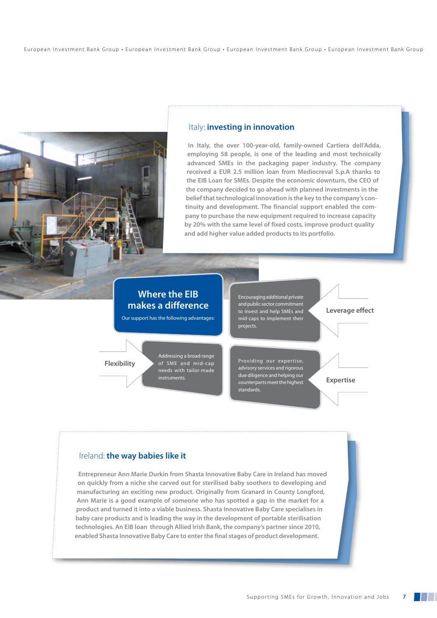European Investment Bank Group • European Investment Bank Group • European Investment Bank Group • European Investment Bank Group



#### Italy: **investing in innovation**

**In Italy, the over 100-year-old, family-owned Cartiera dell'Adda, employing 58 people, is one of the leading and most technically advanced SMEs in the packaging paper industry. The company received a EUR 2.5 million loan from Mediocreval S.p.A thanks to the EIB Loan for SMEs. Despite the economic downturn, the CEO of the company decided to go ahead with planned investments in the belief that technological innovation is the key to the company's continuity and development. The financial support enabled the company to purchase the new equipment required to increase capacity by 20% with the same level of fixed costs, improve product quality and add higher value added products to its portfolio.**

# **Where the EIB makes a difference**

Our support has the following advantages:

instruments.

Addressing a broad range of SME and mid-cap needs with tailor-made

Encouraging additional private and public sector commitment to invest and help SMEs and mid-caps to implement their projects.

Providing our expertise, advisory services and rigorous due diligence and helping our counterparts meet the highest standards.

# **Leverage effect**

**Expertise**

Ireland: **the way babies like it** 

**Flexibility**

**Entrepreneur Ann Marie Durkin from Shasta Innovative Baby Care in Ireland has moved on quickly from a niche she carved out for sterilised baby soothers to developing and manufacturing an exciting new product. Originally from Granard in County Longford, Ann Marie is a good example of someone who has spotted a gap in the market for a product and turned it into a viable business. Shasta Innovative Baby Care specialises in baby care products and is leading the way in the development of portable sterilisation technologies. An EIB loan through Allied Irish Bank, the company's partner since 2010, enabled Shasta Innovative Baby Care to enter the final stages of product development.**